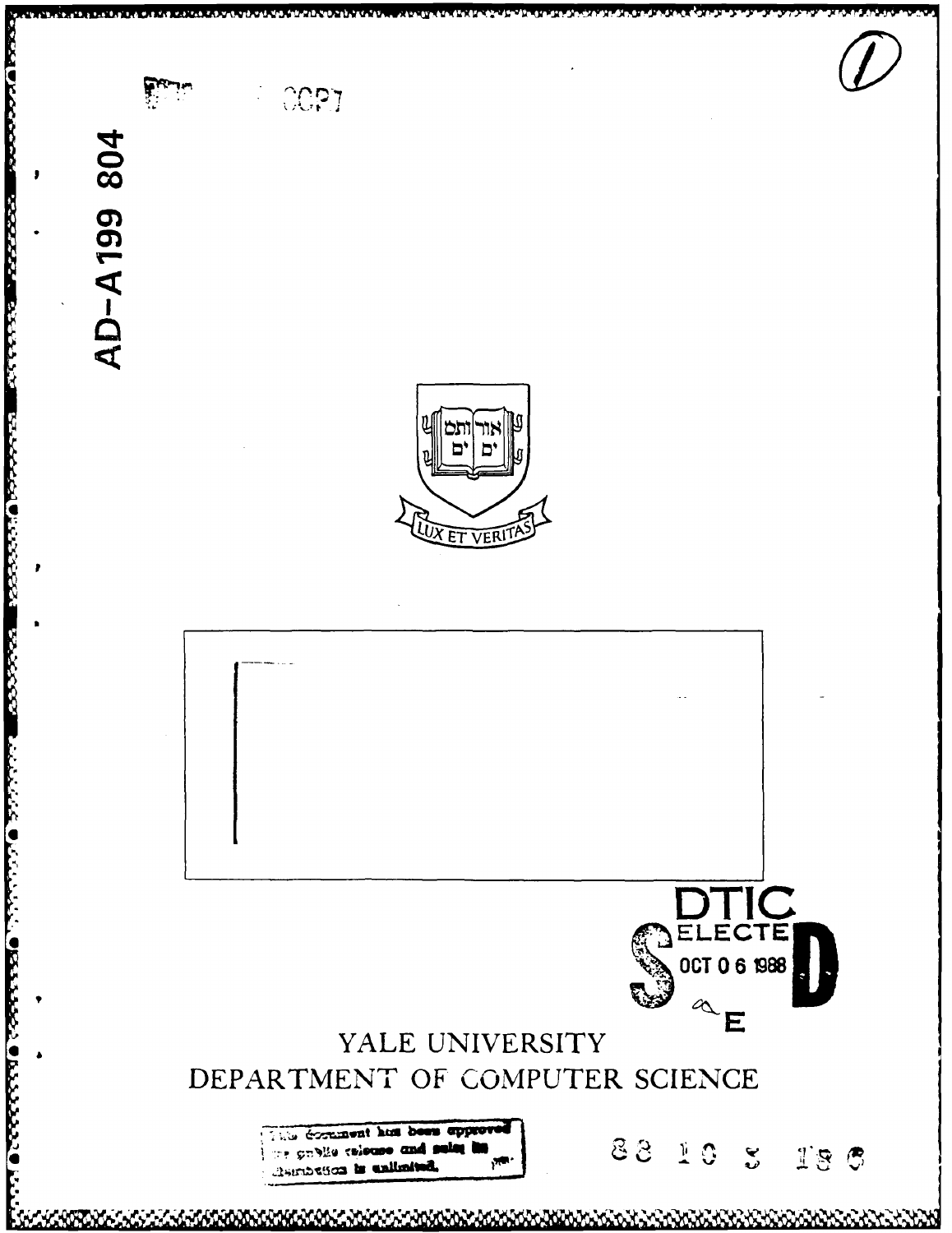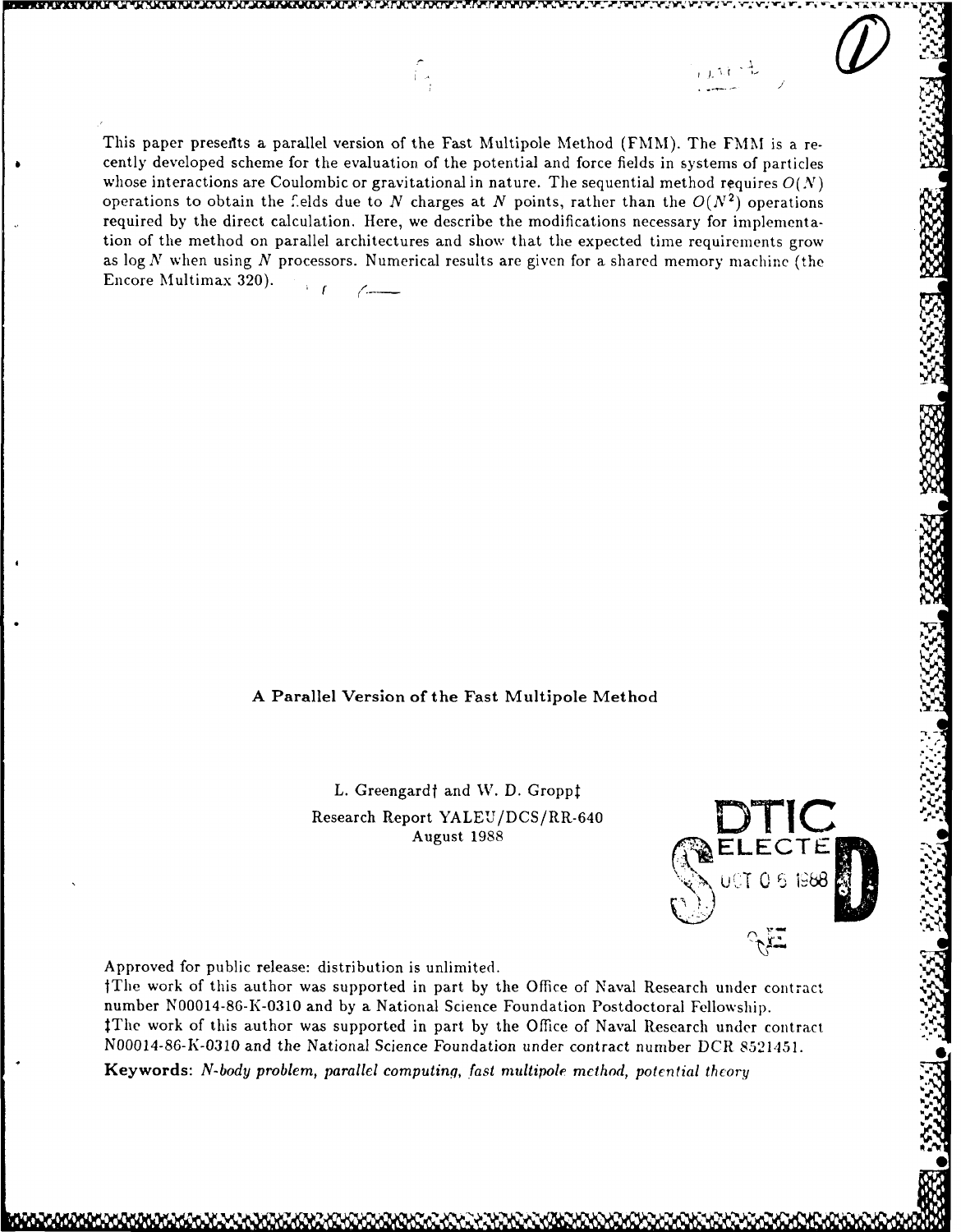This paper presefits a parallel version of the Fast Multipole Method (FMM). The FMM is a recently developed scheme for the evaluation of the potential and force fields in systems of particles whose interactions are Coulombic or gravitational in nature. The sequential method requires  $O(N)$ operations to obtain the fields due to N charges at N points, rather than the  $O(N^2)$  operations required by the direct calculation. Here, we describe the modifications necessary for implementation of the method on parallel architectures and show that the expected time requirements grow as log N when using *N* processors. Numerical results are given for a shared memory machine (the Encore Multimax 320).  $\mathcal{F}$  $\mathcal{L}$ 

 $\bigcap\limits_{1\leq n}$ 

# **A** Parallel Version **of** the Fast Multipole Method

L. Greengard<sup>†</sup> and W. D. Gropp<sup>†</sup> Research Report YALEU/DCS/RR-640 August 1988 **ELECTEM:** -



ن الگران

**1%.**

**.**

**I**

Approved for public release: distribution is unlimited.

tThe work of this author was supported in part by the Office of Naval Research under contract number N00014-86-K-0310 and by a National Science Foundation Postdoctoral Fellowship. tThe work of this author was supported in part by the Office of Naval Research under contract N00014-86-K-0310 and the National Science Foundation under contract number DCR 8521451. **Keywords:** *N-body problem, parallel computing, fast multipole method, potential theory*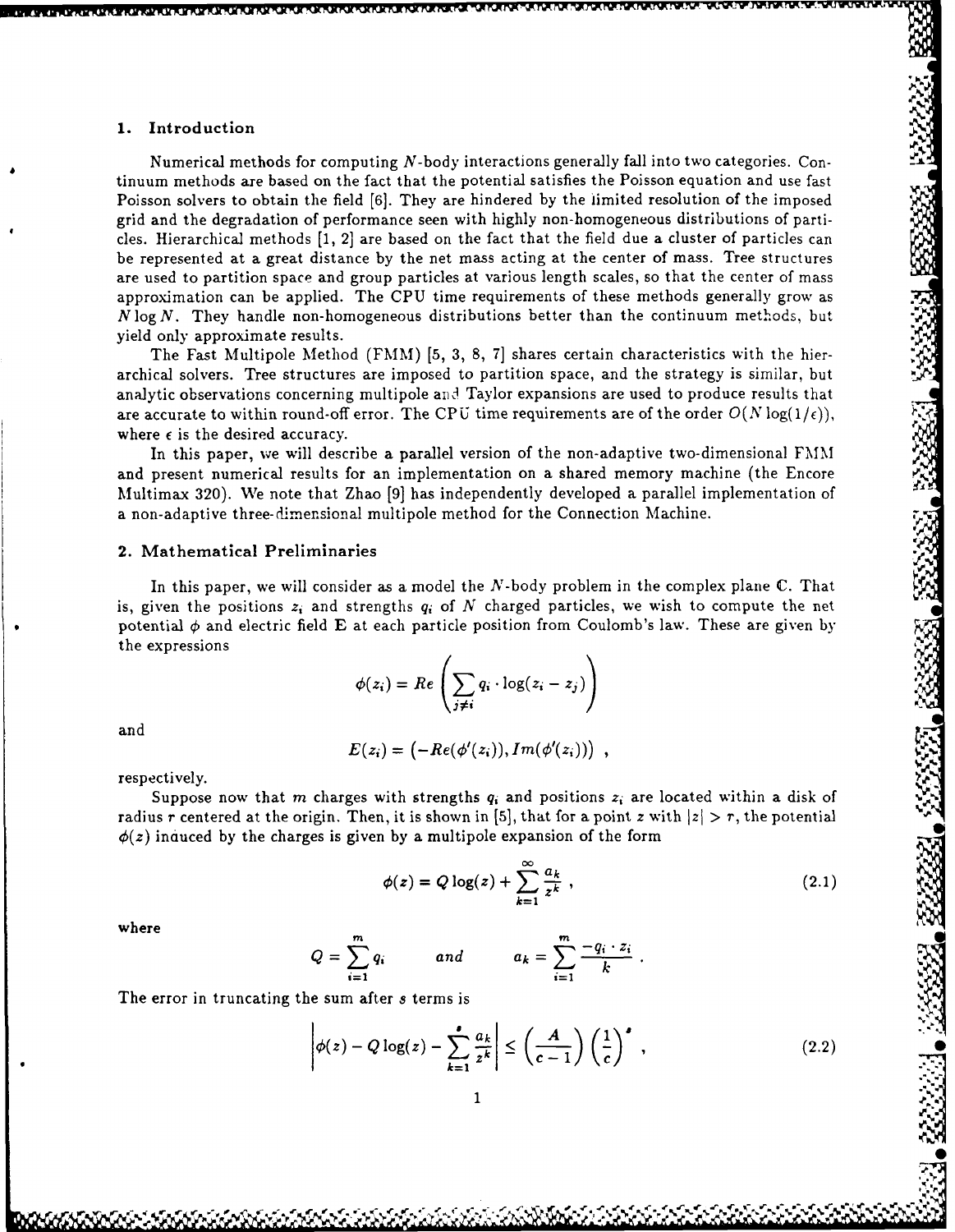# **1.** Introduction

Numerical methods for computing  $N$ -body interactions generally fall into two categories. Continuum methods are based on the fact that the potential satisfies the Poisson equation and use fast Poisson solvers to obtain the field [6]. They are hindered by the limited resolution of the imposed grid and the degradation of performance seen with highly non-homogeneous distributions of particles. Hierarchical methods [1, 2] are based on the fact that the field due a cluster of particles can be represented at a great distance by the net mass acting at the center of mass. Tree structures are used to partition space and group particles at various length scales, so that the center of mass approximation can be applied. The **CPU** time requirements of these methods generally grow as *N* log N. They handle non-homogeneous distributions better than the continuum methods, but yield only approximate results.

*~NF~MA .. ~m* **.. 'A** *%M* **A?% Kr** T"(\%M **1'.A l..L** 'r\* rW " ~ ' " 'p- -

The Fast Multipole Method (FMM) **[5,** 3, 8, 7] shares certain characteristics with the hierarchical solvers. Tree structures are imposed to partition space, and the strategy is similar, but analytic observations concerning multipole and Taylor expansions are used to produce results that are accurate to within round-off error. The CPU time requirements are of the order  $O(N \log(1/\epsilon))$ , where  $\epsilon$  is the desired accuracy.

In this paper, **we** will describe a parallel version of the non-adaptive two-dimensional FMM and present numerical results for an implementation on a shared memory machine (the Encore Multimax 320). We note that Zhao [9] has independently developed a parallel implementation of a non-adaptive three-dimensional multipole method for the Connection Machine.

# 2. Mathematical Preliminaries

In this paper, we will consider as a model the  $N$ -body problem in the complex plane  $\mathbb C$ . That is, given the positions  $z_i$  and strengths  $q_i$  of N charged particles, we wish to compute the net potential  $\phi$  and electric field E at each particle position from Coulomb's law. These are given by the expressions

$$
\phi(z_i) = Re\left(\sum_{j\neq i} q_i \cdot \log(z_i - z_j)\right)
$$

and

$$
E(z_i) = \bigl(-Re(\phi'(z_i)), Im(\phi'(z_i))\bigr) ,
$$

respectively.

Suppose now that *m* charges with strengths  $q_i$  and positions  $z_i$  are located within a disk of radius r centered at the origin. Then, it is shown in [5], that for a point *z* with  $|z| > r$ , the potential  $\phi(z)$  induced by the charges is given by a multipole expansion of the form

$$
\phi(z) = Q \log(z) + \sum_{k=1}^{\infty} \frac{a_k}{z^k} \,, \tag{2.1}
$$

where

$$
Q = \sum_{i=1}^{m} q_i \hspace{1cm} and \hspace{1cm} a_k = \sum_{i=1}^{m} \frac{-q_i \cdot z_i}{k} \ .
$$

The error in truncating the **sum** after *s* terms is

$$
\left|\phi(z) - Q\log(z) - \sum_{k=1}^{\bullet} \frac{a_k}{z^k}\right| \le \left(\frac{A}{c-1}\right) \left(\frac{1}{c}\right)^{\bullet},\tag{2.2}
$$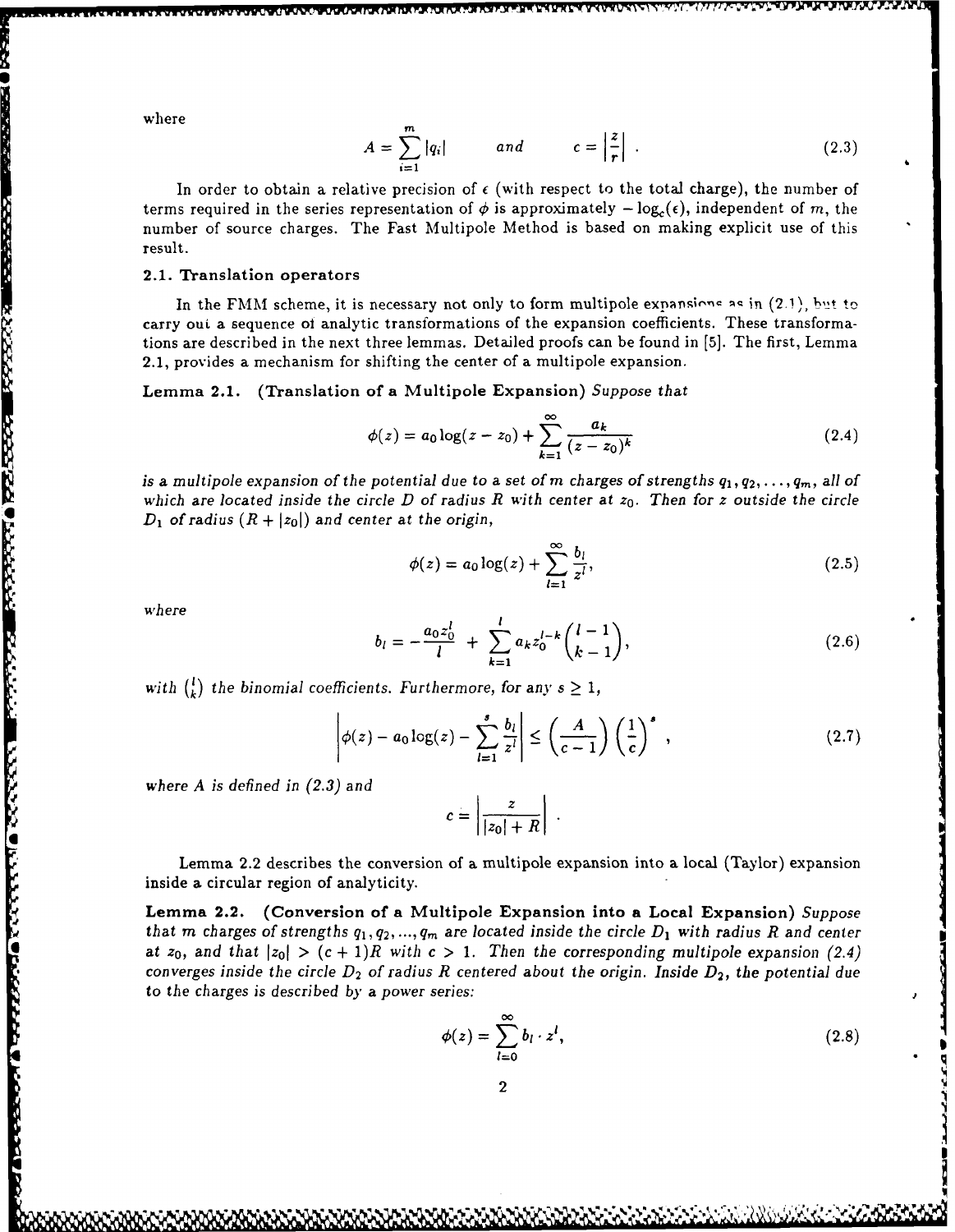where

$$
A = \sum_{i=1}^{m} |q_i| \qquad \text{and} \qquad c = \left| \frac{z}{r} \right| \ . \tag{2.3}
$$

In order to obtain a relative precision of  $\epsilon$  (with respect to the total charge), the number of terms required in the series representation of  $\phi$  is approximately  $-\log_{e}(\epsilon)$ , independent of m, the number of source charges. The Fast Multipole Method is based on making explicit use of this result.

# 2.1. Translation operators

In the FMM scheme, it is necessary not only to form multipole expansions as in (2.1), but to carry oui. a sequence of analytic transformations of the expansion coefficients. These transformations are described in the next three lemmas. Detailed proofs can be found in [5]. The first, Lemma 2.1, provides a mechanism for shifting the center of a multipole expansion.

Lemma 2.1. (Translation of a Multipole Expansion) *Suppose that*

$$
\phi(z) = a_0 \log(z - z_0) + \sum_{k=1}^{\infty} \frac{a_k}{(z - z_0)^k}
$$
 (2.4)

is a multipole expansion of the potential due to a set of m charges of strengths  $q_1, q_2, \ldots, q_m$ , all of which are located inside the circle D of radius R with center at  $z_0$ . Then for z outside the circle  $D_1$  of radius  $(R + |z_0|)$  and center at the origin,

$$
\phi(z) = a_0 \log(z) + \sum_{l=1}^{\infty} \frac{b_l}{z^l},\tag{2.5}
$$

wh *ere*

**DECESSORIA DEL 1720 1730 DE CONTA DE CONSTA EL PRODUCTO DE CONTA DE LA DEL DE CONSTA DE LA DEL DE CONSTA DE CA** 

$$
b_l = -\frac{a_0 z_0^l}{l} + \sum_{k=1}^l a_k z_0^{l-k} {l-1 \choose k-1}, \qquad (2.6)
$$

with  $\binom{k}{k}$  the binomial coefficients. Furthermore, for any  $s \geq 1$ ,

$$
\left|\phi(z) - a_0 \log(z) - \sum_{l=1}^s \frac{b_l}{z^l} \right| \le \left(\frac{A}{c-1}\right) \left(\frac{1}{c}\right)^s ,\qquad (2.7)
$$

*where A is defined in (2.3) and*

$$
c=\left|\frac{z}{|z_0|+R}\right|.
$$

Lemma 2.2 describes the conversion of a multipole expansion into a local (Taylor) expansion inside a circular region of analyticity.

Lemma 2.2. (Conversion of a Multipole Expansion into a Local Expansion) *Suppose that m charges of strengths*  $q_1, q_2, ..., q_m$  *are located inside the circle*  $D_1$  *with radius R and center* at  $z_0$ , and that  $|z_0| > (c+1)R$  with  $c > 1$ . Then the corresponding multipole expansion (2.4) *converges inside the circle*  $D_2$  *of radius R centered about the origin. Inside*  $D_2$ *, the potential due* to *the charges is described by a power series:*

$$
\phi(z) = \sum_{l=0}^{\infty} b_l \cdot z^l, \qquad (2.8)
$$

**\*1**

**+\*\*** - \*- \*)\* ,; t!~.,\*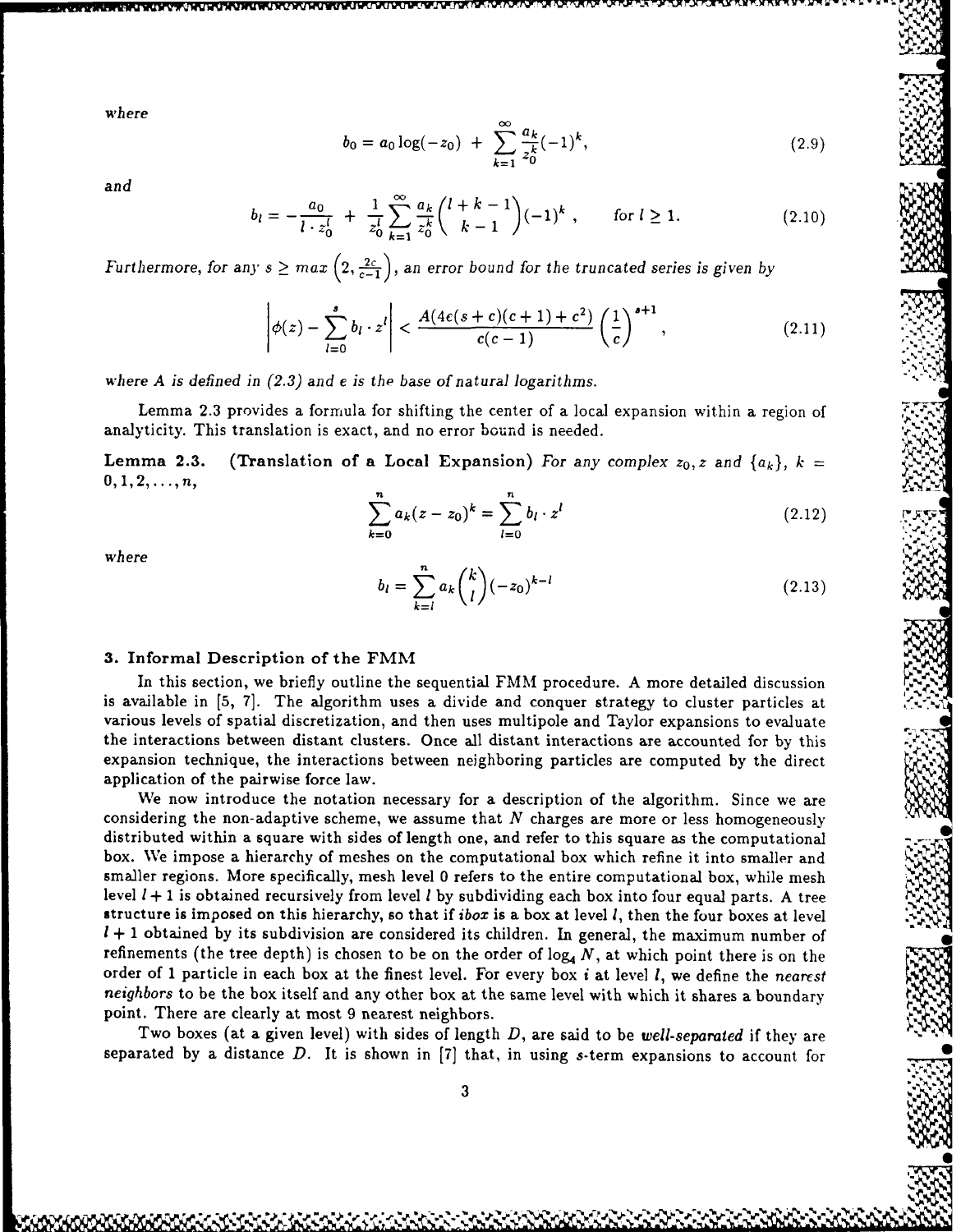where  

$$
b_0 = a_0 \log(-z_0) + \sum_{k=1}^{\infty} \frac{a_k}{z_0^k} (-1)^k,
$$
(2.9)

*and*

$$
b_l = -\frac{a_0}{l \cdot z_0^l} + \frac{1}{z_0^l} \sum_{k=1}^{\infty} \frac{a_k}{z_0^k} {l + k - 1 \choose k - 1} (-1)^k , \quad \text{for } l \ge 1.
$$
 (2.10)

*Furthermore, for any*  $s \geq max\left(2, \frac{2c}{c-1}\right)$ *, an error bound for the truncated series is given by* 

$$
\left|\phi(z)-\sum_{l=0}^s b_l\cdot z^l\right|<\frac{A(4\epsilon(s+c)(c+1)+c^2)}{c(c-1)}\left(\frac{1}{c}\right)^{s+1},\tag{2.11}
$$

*where A is defined in (2.3) and e is the base of natural logarithms.*

Lemma 2.3 provides a formula for shifting the center of a local expansion within a region of analyticity. This translation is exact, and no error bound is needed.

Lemma 2.3. (Translation of a Local Expansion) *For any complex*  $z_0$ *, z and*  $\{a_k\}$ ,  $k =$  $0, 1, 2, \ldots, n$ 

$$
\sum_{k=0}^{n} a_k (z - z_0)^k = \sum_{l=0}^{n} b_l \cdot z^l
$$
 (2.12)

*where*

$$
b_l = \sum_{k=l}^{n} a_k \binom{k}{l} (-z_0)^{k-l} \tag{2.13}
$$

**k**

# **3.** Informal Description of the FMM *S.*

In this section, we briefly outline the sequential FMM procedure. A more detailed discussion is available in **[5,** 7]. The algorithm uses a divide and conquer strategy to cluster particles at various levels of spatial discretization, and then uses multipole and Taylor expansions to evaluate the interactions between distant clusters. Once all distant interactions are accounted for by this expansion technique, the interactions between neighboring particles are computed by the direct application of the pairwise force law.

We now introduce the notation necessary for a description of the algorithm. Since we are considering the non-adaptive scheme, we assume that *N* charges are more or less homogeneously distributed within a square with sides of length one, and refer to this square as the computational box. We impose a hierarchy of meshes on the computational box which refine it into smaller and smaller regions. More specifically, mesh level **0** refers to the entire computational box, while mesh level *1* **+** *1* is obtained recursively from level **I by** subdividing each box into four equal parts. A tree structure is imposed on this hierarchy, so that if *ibox* is a box at level **1,** then the four boxes at level *1* **+** 1 obtained by its subdivision are considered its children. In general, the maximum number of refinements (the tree depth) is chosen to be on the order of  $log_4 N$ , at which point there is on the order of 1 particle in each box at the finest level. For every box *i* at level **1,** we define the *nearest* point. There are clearly at most 9 nearest neighbors. *neighbors*  to be the box itself and any other box at the same level with which point there is on the<br>ered its children. In general, the maximum number of<br>on the order of  $\log_4 N$ , at which point there is on the<br>level. For every box *i* at level *I*, we define the *nea* 

Two boxes (at a given level) with sides of length *D,* are said to be *well-separated* if they are separated by a distance *D.* It is shown in [7] that, in using s-term expansions to account for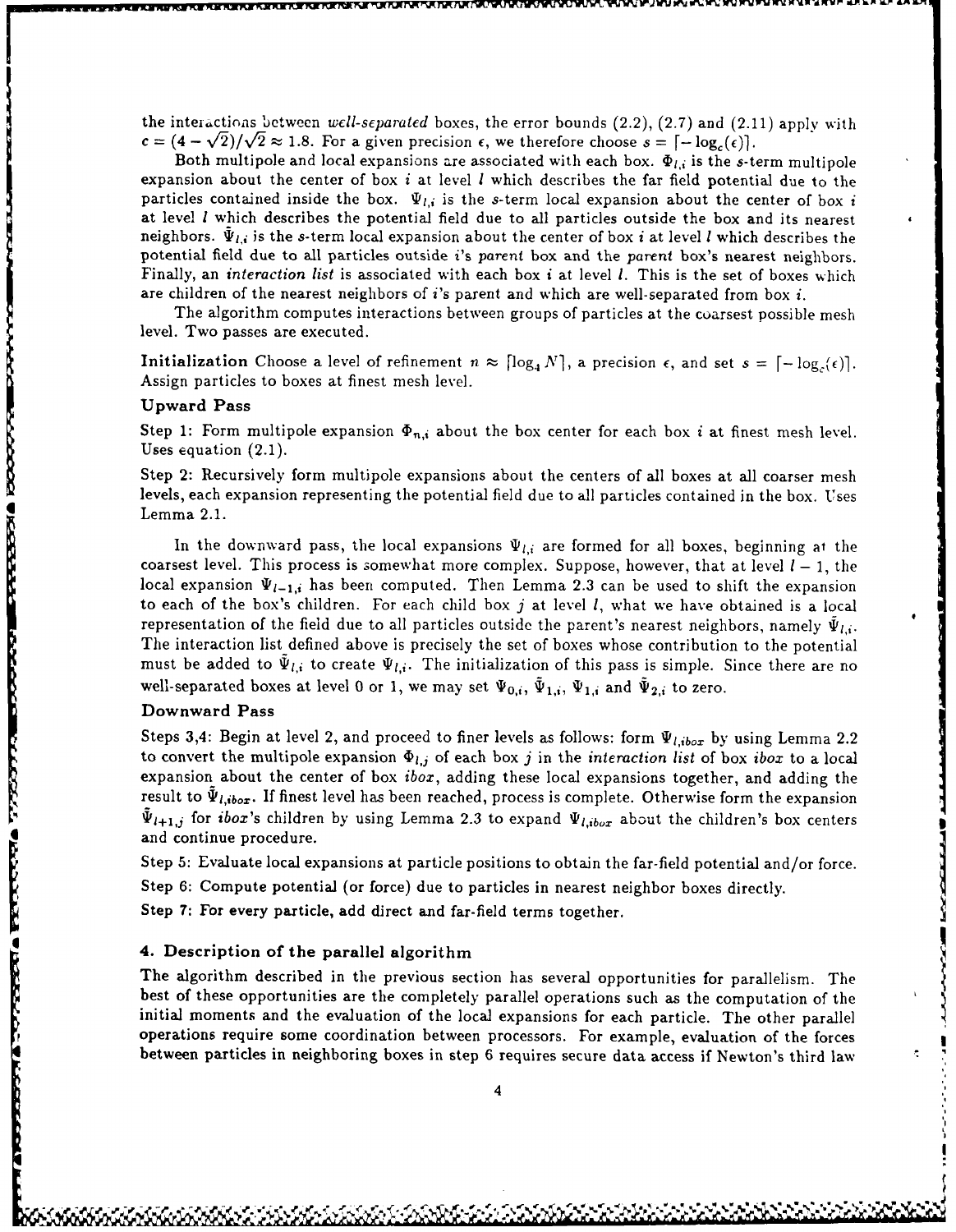the interactions between *well-separated* boxes, the error bounds (2.2), (2.7) and (2.11) apply with  $c = (4 - \sqrt{2})/\sqrt{2} \approx 1.8$ . For a given precision  $\epsilon$ , we therefore choose  $s = [-\log_{c}(\epsilon)].$ 

I m~~u=W~-.~ w **K nwr** ,V nx **~-~** ,~~.- **V' V** ~ ~ *V-* **WU 3** *WV'* **W'%. W%1 WW WWY N** *K* **MN F .P.4r kLd^**

Both multipole and local expansions are associated with each box.  $\Phi_{l,i}$  is the s-term multipole expansion about the center of box *i* at level **I** which describes the far field potential due to the particles contained inside the box.  $\Psi_{l,i}$  is the s-term local expansion about the center of box *i* at level **I** which describes the potential field due to all particles outside the box and its nearest neighbors.  $\Psi_{l,i}$  is the s-term local expansion about the center of box *i* at level *I* which describes the potential field due to all particles outside *i's* parent box and the parent box's nearest neighbors. Finally, an *interaction list* is associated with each box *i* at level *1.* This is the set of boxes which are children of the nearest neighbors of *i's* parent and which are well-separated from box *i.*

The algorithm computes interactions between groups of particles at the coarsest possible mesh level. Two passes are executed.

Initialization Choose a level of refinement  $n \approx \lceil \log_4 N \rceil$ , a precision  $\epsilon$ , and set  $s = \lceil -\log_4(\epsilon) \rceil$ . Assign particles to boxes at finest mesh level.

# Upward Pass

Step 1: Form multipole expansion  $\Phi_{n,i}$  about the box center for each box *i* at finest mesh level. Uses equation (2.1).

Step 2: Recursively form multipole expansions about the centers of all boxes at all coarser mesh levels, each expansion representing the potential field due to all particles contained in the box. Uses Lemma 2.1.

In the downward pass, the local expansions  $\Psi_{l,i}$  are formed for all boxes, beginning at the coarsest level. This process is somewhat more complex. Suppose, however, that at level  $l-1$ , the local expansion  $\Psi_{l-1,i}$  has been computed. Then Lemma 2.3 can be used to shift the expansion to each of the box's children. For each child box j at level *1,* what we have obtained is a local representation of the field due to all particles outside the parent's nearest neighbors, namely  $\Psi_{l,i}$ . The interaction list defined above is precisely the set of boxes whose contribution to the potential must be added to  $\tilde{\Psi}_{l,i}$  to create  $\Psi_{l,i}$ . The initialization of this pass is simple. Since there are no well-separated boxes at level 0 or 1, we may set  $\Psi_{0,i}$ ,  $\Psi_{1,i}$ ,  $\Psi_{1,i}$  and  $\Psi_{2,i}$  to zero.

#### Downward Pass

a FRITTINIA TAZIOTARI BIOGRAFIA ESPERANTIO

**BEEVALLE** 

Steps 3,4: Begin at level 2, and proceed to finer levels as follows: form  $\Psi_{l,ibox}$  by using Lemma 2.2 to convert the multipole expansion  $\Phi_{l,j}$  of each box j in the *interaction list* of box *ibox* to a local expansion about the center of box *ibox,* adding these local expansions together, and adding the result to  $\tilde{\Psi}_{l,ibor}$ . If finest level has been reached, process is complete. Otherwise form the expansion  $\Psi_{l+1,j}$  for *ibox's* children by using Lemma 2.3 to expand  $\Psi_{l,ibox}$  about the children's box centers and continue procedure.

Step 5: Evaluate local expansions at particle positions to obtain the far-field potential and/or force.

Step 6: Compute potential (or force) due to particles in nearest neighbor boxes directly.

Step **7:** For every particle, add direct and far-field terms together.

### 4. Description of the parallel algorithm

The algorithm described in the previous section has several opportunities for parallelism. The best of these opportunities are the completely parallel operations such as the computation of the initial moments and the evaluation of the local expansions for each particle. The other parallel operations require some coordination between processors. For example, evaluation of the forces between particles in neighboring boxes in step 6 requires secure data access if Newton's third law

*IF* **\*,e** W **t1%\*~.**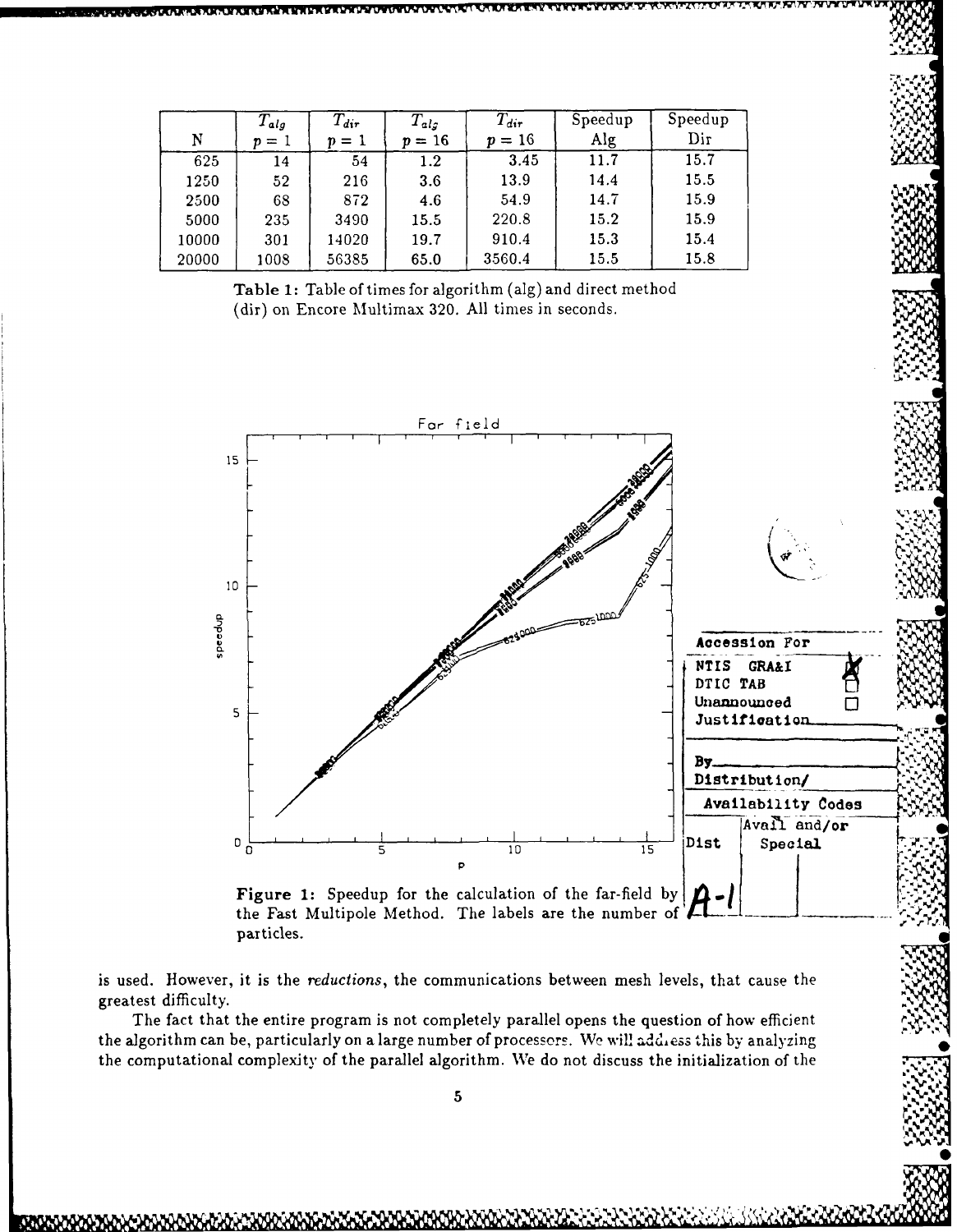|       | $T_{alg}$  | $T_{dir}$ | $T_{alg}$ | $T_{dir}$    | Speedup | Speedup |
|-------|------------|-----------|-----------|--------------|---------|---------|
| N     | $= 1$<br>n | $=$ 1     | $p=16$    | $= 16$<br>D. | Alg     | Dir     |
| 625   | 14         | 54        | $1.2\,$   | 3.45         | 11.7    | 15.7    |
| 1250  | 52         | 216       | 3.6       | 13.9         | 14.4    | 15.5    |
| 2500  | 68         | 872       | 4.6       | 54.9         | 14.7    | 15.9    |
| 5000  | 235        | 3490      | 15.5      | 220.8        | 15.2    | 15.9    |
| 10000 | 301        | 14020     | 19.7      | 910.4        | 15.3    | 15.4    |
| 20000 | 1008       | 56385     | 65.0      | 3560.4       | 15.5    | 15.8    |

Table 1: Table of times for algorithm (alg) and direct method (dir) on Encore Multimax 320. All times in seconds.



particles.

is used. However, it is the reductions, the communications between mesh levels, that cause the greatest difficulty.

The fact that the entire program is not completely parallel opens the question of how efficient the algorithm can be, particularly on a large number of processors. We will address this by analyzing the computational complexity of the parallel algorithm. We do not discuss the initialization of the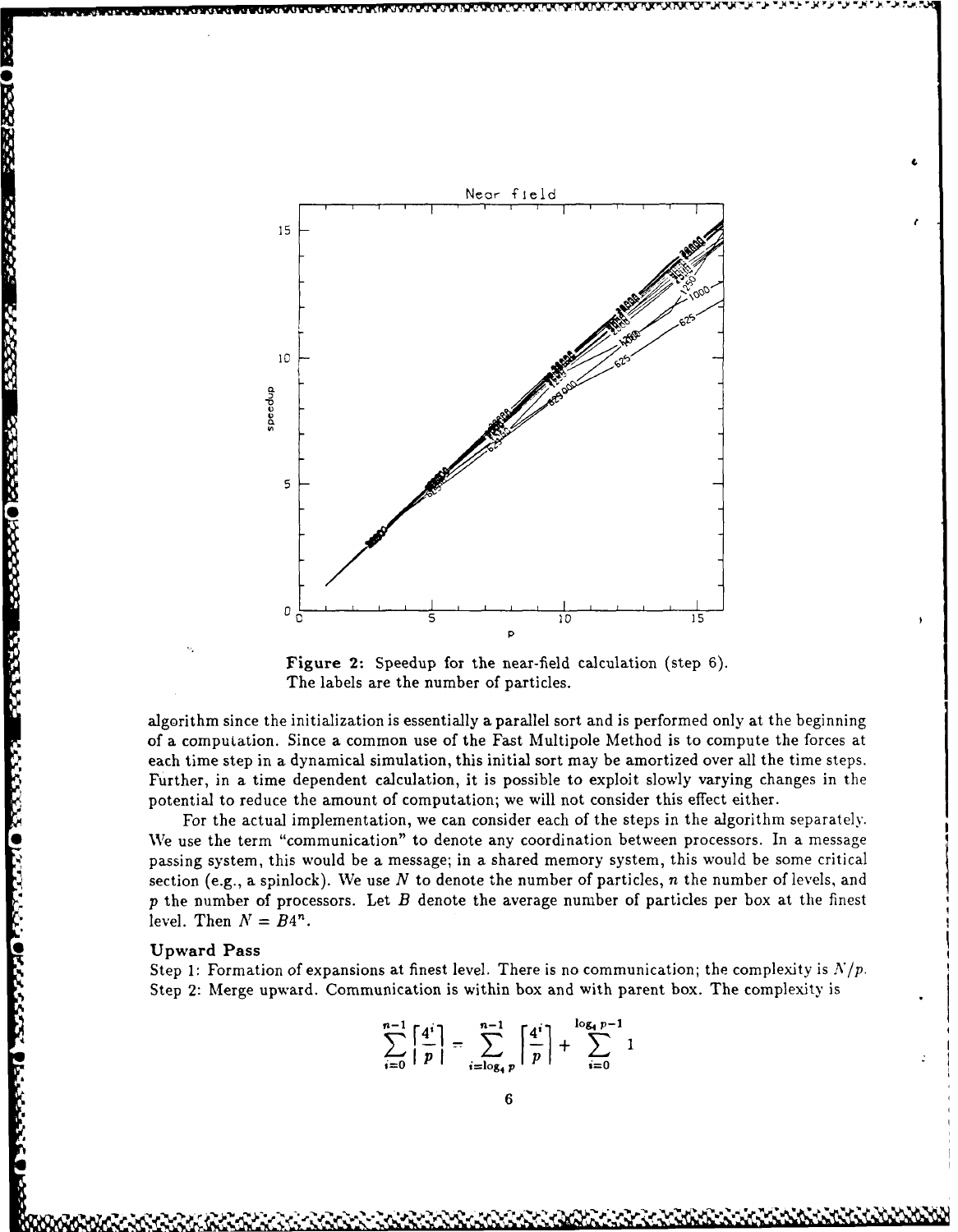

Figure 2: Speedup for the near-field calculation (step 6). The labels are the number of particles.

algorithm since the initialization is essentially a parallel sort and is performed only at the beginning of a computation. Since a common use of the Fast Multipole Method is to compute the forces at each time step in a dynamical simulation, this initial sort may be amortized over all the time steps. Further, in a time dependent calculation, it is possible to exploit slowly varying changes in the potential to reduce the amount of computation; we will not consider this effect either.

For the actual implementation, we can consider each of the steps in the algorithm separately. We use the term "communication" to denote any coordination between processors. In a message passing system, this would be a message; in a shared memory system, this would be some critical section (e.g., a spinlock). We use *N* to denote the number of particles, *n* the number of levels, and  $p$  the number of processors. Let  $B$  denote the average number of particles per box at the finest level. Then  $N = B4^n$ . **\* Upward Passes**<br>
algorithm since<br>
of a computation<br>
of a computation<br>
of a computation<br>
potential to red<br>
We use the term is a Form the act<br>
we use the term of the act<br>
of the act of the act of the act of the act of the

Step 1: Formation of expansions at finest level. There is no communication; the complexity is  $N/p$ . Step 2: Merge upward. Communication is within box and with parent box. The complexity is

$$
\sum_{i=0}^{n-1} \left\lceil \frac{4^i}{p} \right\rceil = \sum_{i=\log_4}^{n-1} \left\lceil \frac{4^i}{p} \right\rceil + \sum_{i=0}^{\log_4 p - 1} 1
$$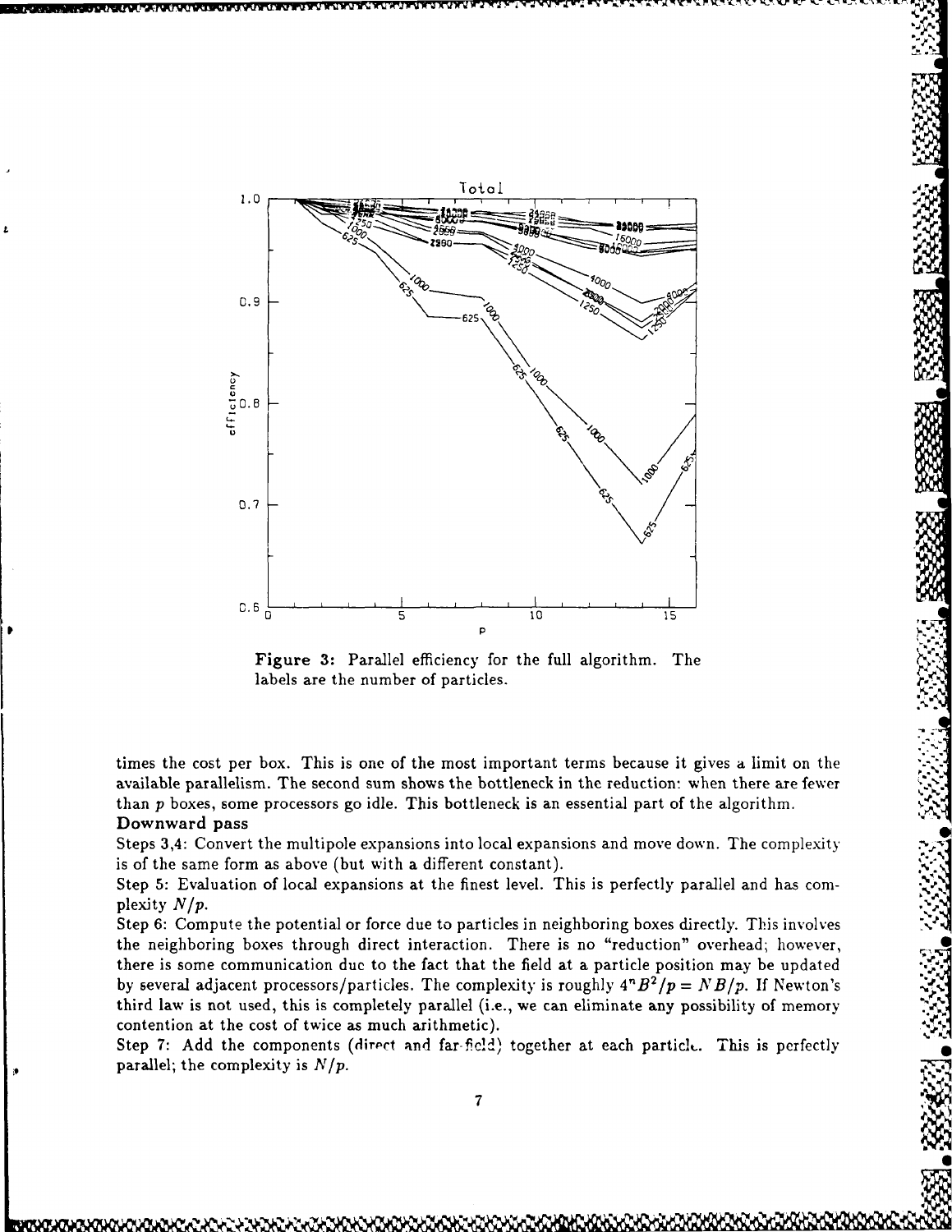

Figure 3: Parallel efficiency for the full algorithm. The labels are the number of particles.

times the cost per box. This is one of the most important terms because it gives a limit on the available parallelism. The second sum shows the bottleneck in the reduction: when than  $p$  boxes, some processors go idle. This bottleneck is an essential part of the algorithm a limit on the<br>there are fewer<br>gorithm. Downward pass

Steps 3,4: Convert the multipole expansions into local expansions and move down. The complexity is of the same form as above (but with a different constant).

Step 5: Evaluation of local expansions at the finest level. This is perfectly parallel and has cornplexity *N/p.*

Step 6: Compute the potential or force due to particles in neighboring boxes directly. This involves the neighboring boxes through direct interaction. There is no "reduction" overhead; however, there is some communication due to the fact that the field at a particle position may be updated by several adjacent processors/particles. The complexity is roughly  $4^nB^2/p = NB/p$ . If Newton's third law is not used, this is completely parallel (i.e., we can eliminate any possibility of memory contention at the cost of twice as much arithmetic).

Step 7: Add the components (direct and far-field) together at each particle. This is perfectly parallel; the complexity is  $N/p$ .

**74**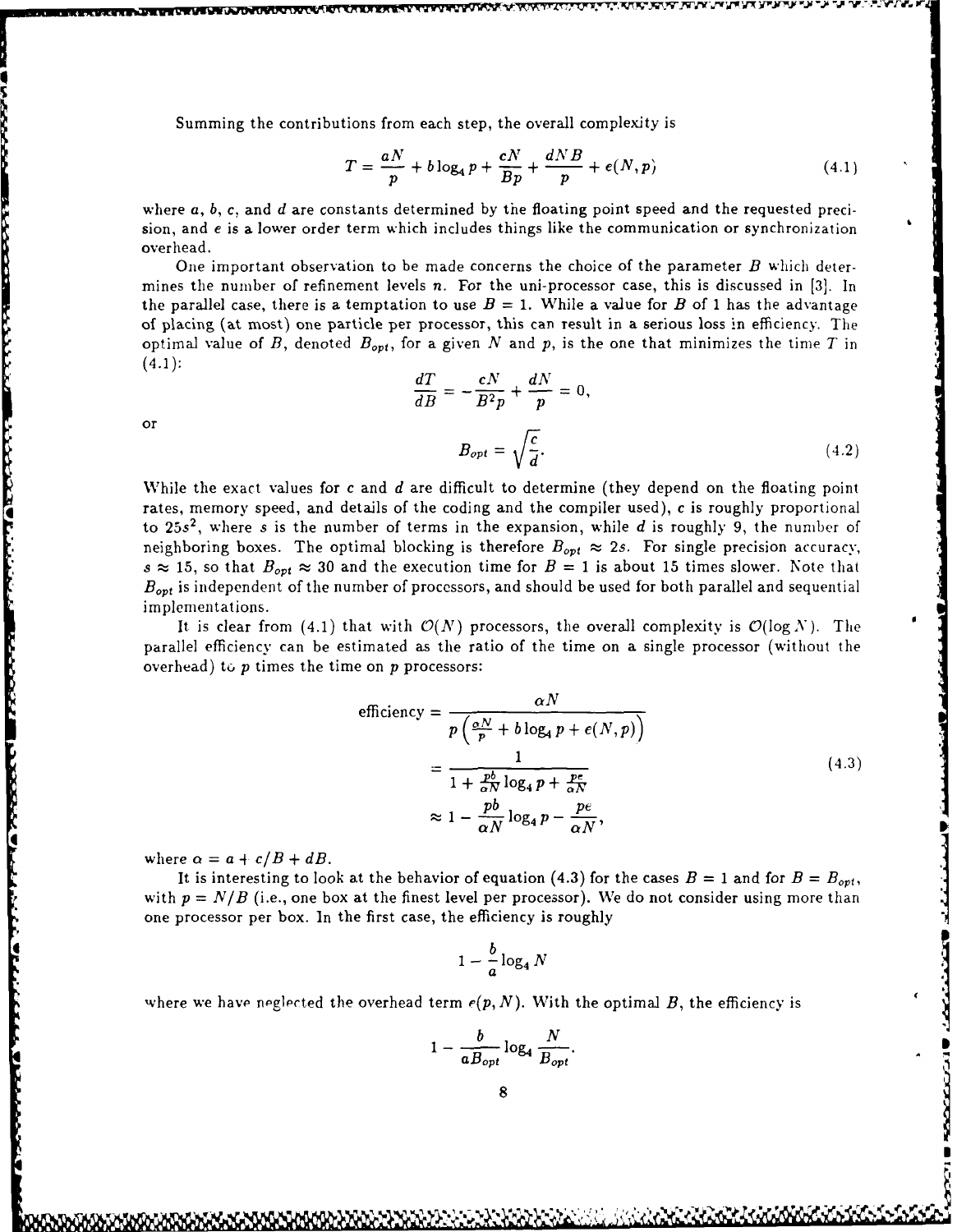Summing the contributions from each step, the overall complexity is

$$
T = \frac{aN}{p} + b\log_4 p + \frac{cN}{Bp} + \frac{dNB}{p} + e(N, p) \tag{4.1}
$$

where a, *b, c,* and *d* are constants determined **by** the floating point speed and the requested precision, and *e* is a lower order term which includes things like the communication or synchronization overhead.

One important observation to be made concerns the choice of the parameter *B* which determines the number of refinement levels *n.* For the uni-processor case, this is discussed in [3]. In the parallel case, there is a temptation to use  $B = 1$ . While a value for *B* of 1 has the advantage of placing (at most) one particle per processor, this can result in a serious loss In efficiency. The optimal value of *B*, denoted  $B_{opt}$ , for a given *N* and *p*, is the one that minimizes the time *T* in  $(4.1):$  $\frac{dT}{dB} = -\frac{cN}{B^2p} + \frac{dN}{p} = 0,$ 

or

A MARIA DI MARIA NA MATA NA MATA NA MATA NA MATA NA MATA NA MATA NA MATA NA MATA NA MATA NA MATA NA MATA NA MA

$$
B_{opt} = \sqrt{\frac{c}{d}}.\tag{4.2}
$$

While the exact values for *c* and *d* are difficult to determine (they depend on the floating point rates, memory speed, and details of the coding and the compiler used), *c* is roughly proportional to 25s<sup>2</sup>, where *s* is the number of terms in the expansion, while *d* is roughly 9, the number of neighboring boxes. The optimal blocking is therefore  $B_{opt} \approx 2s$ . For single precision accuracy,  $s \approx 15$ , so that  $B_{opt} \approx 30$  and the execution time for  $B = 1$  is about 15 times slower. Note that *B<sub>ort</sub>* is independent of the number of processors, and should be used for both parallel and sequential implementations.

It is clear from (4.1) that with  $\mathcal{O}(N)$  processors, the overall complexity is  $\mathcal{O}(\log N)$ . The parallel efficiency can be estimated as the ratio of the time on a single processor (without the overhead) to  $p$  times the time on  $p$  processors:

$$
\text{efficiency} = \frac{\alpha N}{p \left(\frac{\alpha N}{p} + b \log_4 p + e(N, p)\right)}
$$
\n
$$
= \frac{1}{1 + \frac{pb}{\alpha N} \log_4 p + \frac{pe}{\alpha N}}
$$
\n
$$
\approx 1 - \frac{pb}{\alpha N} \log_4 p - \frac{pe}{\alpha N},
$$
\n(4.3)

**FIRST BEFORE AND LONGED AND STREET** 

where  $\alpha = a + c/B + dB$ .

It is interesting to look at the behavior of equation (4.3) for the cases  $B = 1$  and for  $B = B_{opt}$ . with  $p = N/B$  (i.e., one box at the finest level per processor). We do not consider using more than one processor per box. In the first case, the efficiency is roughly

$$
1-\frac{b}{a}\log_4 N
$$

where we have neglected the overhead term  $e(p, N)$ . With the optimal *B*, the efficiency is

$$
1-\frac{b}{aB_{opt}}\log_4\frac{N}{B_{opt}}.
$$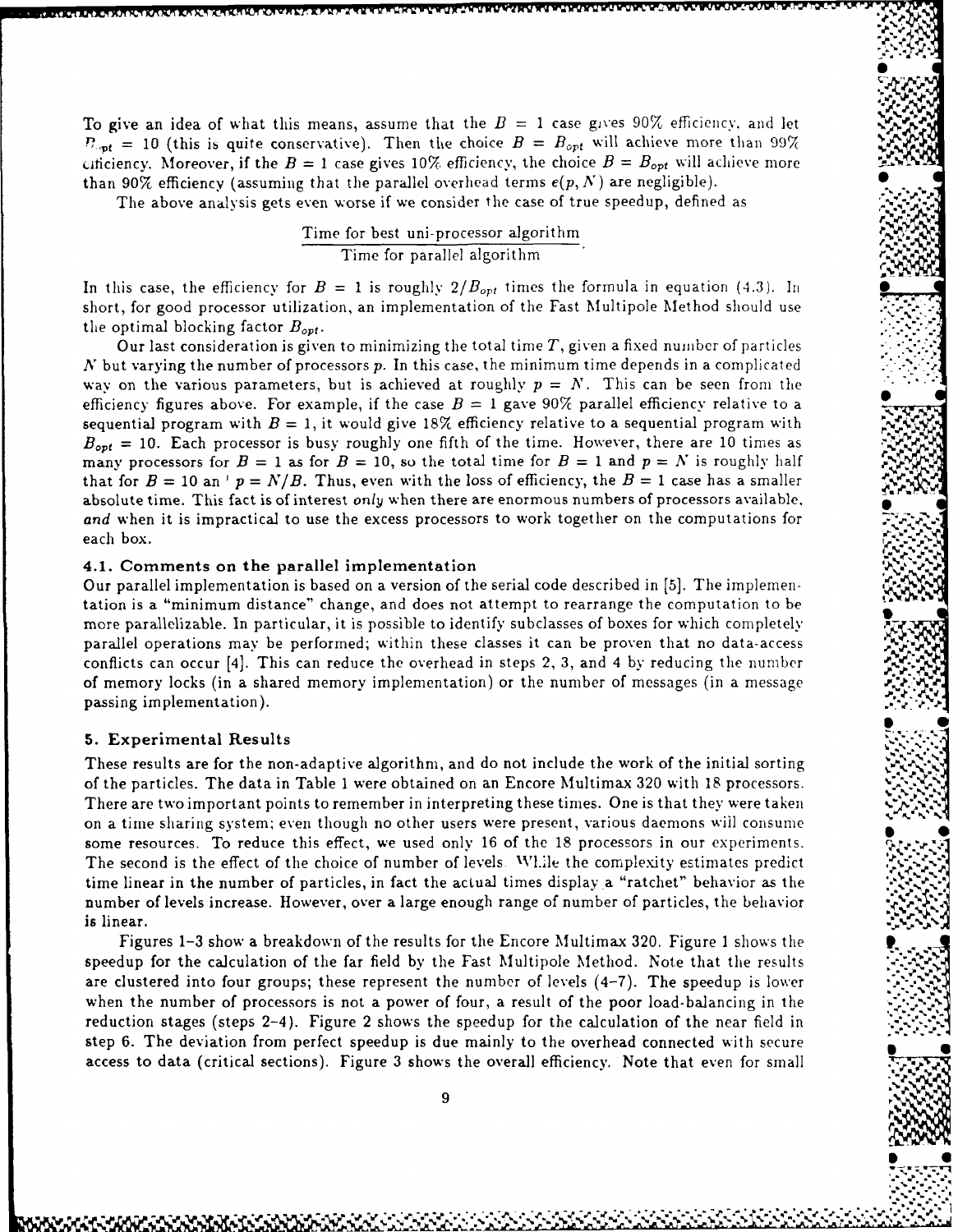To give an idea of what this means, assume that the  $B = 1$  case gives 90% efficiency, and let  $P_{opt}$  = 10 (this is quite conservative). Then the choice  $B = B_{opt}$  will achieve more than 99% Litianary. Moreover, if the  $B = 1$  case gives 10% efficiency, the choice  $B = B_{opt}$  will achieve more than 90% efficiency (assuming that the parallel overhead terms  $e(p, N)$  are negligible).

\_1% **V'WU** "i.r.,,W

The above analysis gets even worse if we consider the case of true speedup, defined as

$$
\frac{\text{Time for best uni-processor algorithm}}{\text{Time for parallel algorithm}}.
$$

In this case, the efficiency for  $B = 1$  is roughly  $2/B_{opt}$  times the formula in equation (4.3). In short, for good processor utilization, an implementation of the Fast Multipole Method should use the optimal blocking factor  $B_{opt}$ .

Our last consideration is given to minimizing the total time *T,* given a fixed number of particles  $N$  but varying the number of processors  $p$ . In this case, the minimum time depends in a complicated way on the various parameters, but is achieved at roughly  $p = N$ . This can be seen from the efficiency figures above. For example, if the case  $B = 1$  gave 90% parallel efficiency relative to a sequential program with  $B = 1$ , it would give 18% efficiency relative to a sequential program with  $B_{opt}$  = 10. Each processor is busy roughly one fifth of the time. However, there are 10 times as many processors for  $B = 1$  as for  $B = 10$ , so the total time for  $B = 1$  and  $p = N$  is roughly half that for  $B = 10$  an  $\cdot$   $p = N/B$ . Thus, even with the loss of efficiency, the  $B = 1$  case has a smaller absolute time. This fact is of interest *only* when there are enormous numbers of processors available, *and* when it is impractical to use the excess processors to work together on the computations for each box.  $\mathbb{C}^{\mathcal{L}}$ 

#### 4.1. Comments on the parallel implementation **%**

Our parallel implementation is based on a version of the serial code described in [5]. The implementation is a "minimum distance" change, and does not attempt to rearrange the computation to be more parallelizable. In particular, it is possible to identify subclasses of boxes for which completely parallel operations may be performed; within these classes it can be proven that no data-access conflicts can occur [4]. This can reduce the overhead in steps 2, 3, and 4 by reducing the number **0** of memory locks (in a shared memory implementation) or the number of messages (in a message passing implementation). .

#### **5.** Experimental Results

These results are for the non-adaptive algorithm, and do not include the work of the initial sorting of the particles. The data in Table 1 were obtained on an Encore Multimax 320 with 18 processors. There are two important points to remember in interpreting these times. One is that they were taken on a time sharing system; even though no other users were present, various daemons wiil consume **S** some resources. To reduce this effect, we used only 16 of the 18 processors in our experiments. *,'* The second is the effect of the choice of number of levels. While the complexity estimates predict time linear in the number of particles, in fact the actual times display.a "ratchet" behavior as the number of levels increase. However, over a large enough range of number of particles, the behavior is linear.

Figures 1-3 show a breakdown of the results for the Encore Multimax 320. Figure 1 shows the. speedup for the calculation of the far field by the Fast Multipole Method. Note that the results are clustered into four groups; these represent the number of levels (4-7). The speedup is lower when the number of processors is not a power of four, a result of the poor load-balancing in the reduction stages (steps 2-4). Figure 2 shows the speedup for the calculation of the near field in step 6. The deviation from perfect speedup is due mainly to the overhead connected with secure access to data (critical sections). Figure 3 shows the overall efficiency. Note that even for small

a de la componencia de la componencia de la componencia de la componencia de la componencia de la componencia<br>La componencia de la componencia de la componencia de la componencia de la componencia de la componencia de la

 $\sim$   $\sim$   $\sim$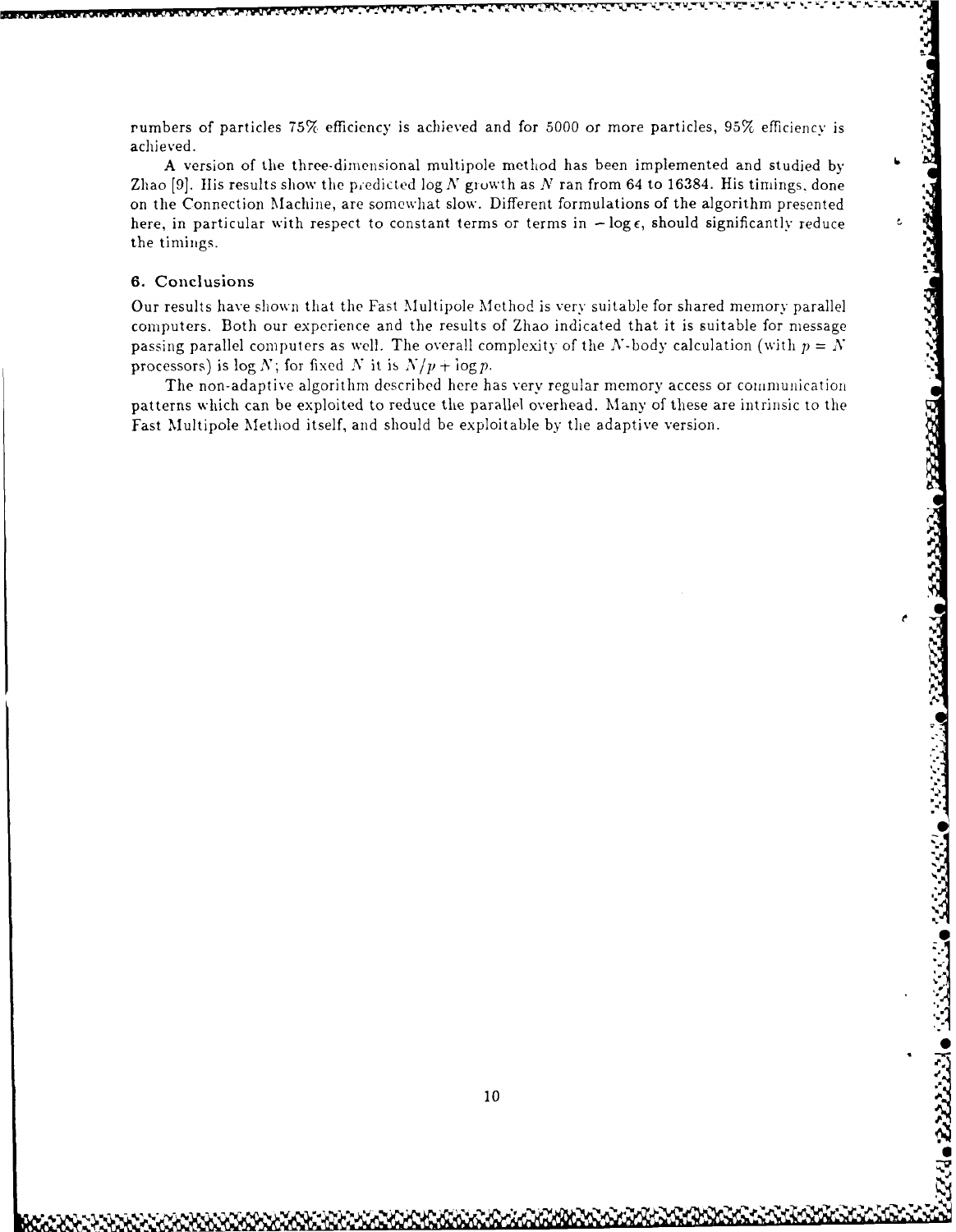rumbers of particles **757(** efficiency is achieved and for 5000 or more particles, 95X efficiency is achieved.

A version of the three-dimensional multipole method has been implemented and studied by **<sup>6</sup>** Zhao [9]. His results show the predicted log N growth as N ran from 64 to 16384. His timings, done on the Connection Machine, are somewhat slow. Different formulations of the algorithm presented here, in particular with respect to constant terms or terms in  $-\log \epsilon$ , should significantly reduce the timings.

# 6. Conclusions

Our results have shown that the Fast Multipole Method is very suitable for shared memory parallel computers. Both our experience and the results of Zhao indicated that it is suitable for message passing parallel computers as well. The overall complexity of the N-body calculation (with  $p = N$ processors) is  $\log N$ ; for fixed N it is  $N/p + \log p$ .

The non-adaptive algorithm described here has very regular memory access or communication patterns which can be exploited to reduce the parallel overhead. Many of these are intrinsic to the Fast Multipole Method itself, and should be exploitable by the adaptive version.

**• -S**

والكفائح وشفقات لأدكار والمكركرون

222223

**0**

**6** a

1t3 ,".